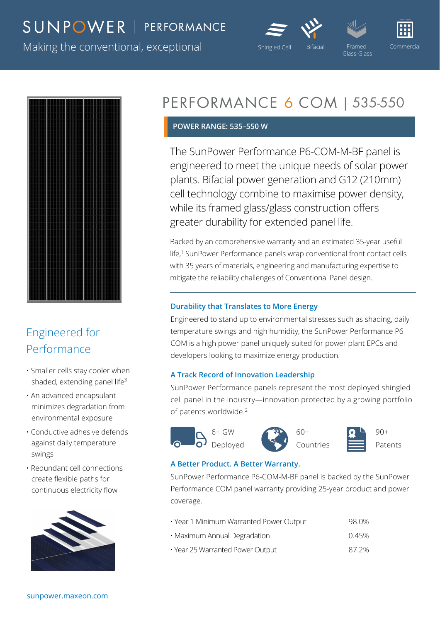### SUNPOWER | PERFORMANCE





Making the conventional, exceptional Shingled Cell Bifacial Framed Commercial Commercial



### Engineered for Performance

- Smaller cells stay cooler when shaded, extending panel life<sup>3</sup>
- An advanced encapsulant minimizes degradation from environmental exposure
- Conductive adhesive defends against daily temperature swings
- Redundant cell connections create flexible paths for continuous electricity flow



## PERFORMANCE 6 COM | 535-550

#### **POWER RANGE: 535–550 W**

The SunPower Performance P6-COM-M-BF panel is engineered to meet the unique needs of solar power plants. Bifacial power generation and G12 (210mm) cell technology combine to maximise power density, while its framed glass/glass construction offers greater durability for extended panel life.

Backed by an comprehensive warranty and an estimated 35-year useful life,<sup>1</sup> SunPower Performance panels wrap conventional front contact cells with 35 years of materials, engineering and manufacturing expertise to mitigate the reliability challenges of Conventional Panel design.

#### **Durability that Translates to More Energy**

Engineered to stand up to environmental stresses such as shading, daily temperature swings and high humidity, the SunPower Performance P6 COM is a high power panel uniquely suited for power plant EPCs and developers looking to maximize energy production.

#### **A Track Record of Innovation Leadership**

SunPower Performance panels represent the most deployed shingled cell panel in the industry—innovation protected by a growing portfolio of patents worldwide.<sup>2</sup>

 $6+$  GW Deployed



Countries



#### **A Better Product. A Better Warranty.**

SunPower Performance P6-COM-M-BF panel is backed by the SunPower Performance COM panel warranty providing 25-year product and power coverage.

- Year 1 Minimum Warranted Power Output 98.0% • Maximum Annual Degradation **compared 10.45%** 0.45%
- Year 25 Warranted Power Output 87.2%